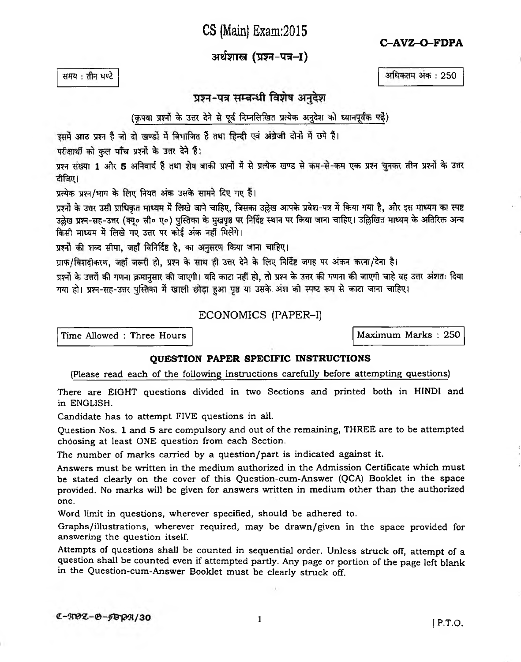CS (Main) Exam: 2015

C-AVZ-O-FDPA

अर्थशास्त्र (प्रश्न-पत्र-I)

समय: तीन पण्टे

अधिकतम अंक : 250

प्रश्न-पत्र सम्बन्धी विशेष अनुदेश

(कृपया प्रश्नों के उत्तर देने से पूर्व निम्नलिखित प्रत्येक अनुदेश को ध्यानपूर्वक पढ़ें)

इसमें आठ प्रश्न हैं जो दो खण्डों में विभाजित हैं तथा हिन्दी एवं अंग्रेजी दोनों में छपे हैं।

परीक्षार्थी को कुल पाँच प्रश्नों के उत्तर देने हैं।

प्रश्न संख्या 1 और 5 अनिवार्य हैं तथा शेष बाकी प्रश्नों में से प्रत्येक खण्ड से कम-से-कम एक प्रश्न चुनकर तीन प्रश्नों के उत्तर दीजिए।

प्रत्येक प्रश्न/भाग के लिए नियत अंक उसके सामने दिए गए हैं।

प्रश्नों के उत्तर उसी प्राधिकृत माध्यम में लिखे जाने चाहिए, जिसका उल्लेख आपके प्रवेश-पत्र में किया गया है, और इस माध्यम का स्पष्ट उल्लेख प्रश्न-सह-उत्तर (क्यू० सी० ए०) पुस्तिका के मुखपृष्ठ पर निर्दिष्ट स्थान पर किया जाना चाहिए। उल्लिखित माध्यम के अतिरिक्त अन्य किसी माध्यम में लिखे गए उत्तर पर कोई अंक नहीं मिलेंगे।

प्रश्नों की शब्द सीमा, जहाँ विनिर्दिष्ट है, का अनुसरण किया जाना चाहिए।

ग्राफ/विशदीकरण, जहाँ जरूरी हो, प्रश्न के साथ ही उत्तर देने के लिए निर्दिष्ट जगह पर अंकन करना/देना है।

प्रश्नों के उत्तरों की गणना क्रमानुसार की जाएगी। यदि काटा नहीं हो, तो प्रश्न के उत्तर की गणना की जाएगी चाहे वह उत्तर अंशतः दिया गया हो। प्रश्न-सह-उत्तर पुस्तिका में खाली छोड़ा हुआ पृष्ठ या उसके अंश को स्पष्ट रूप से काटा जाना चाहिए।

ECONOMICS (PAPER-I)

Time Allowed : Three Hours

Maximum Marks: 250

## QUESTION PAPER SPECIFIC INSTRUCTIONS

(Please read each of the following instructions carefully before attempting questions)

There are EIGHT questions divided in two Sections and printed both in HINDI and in ENGLISH.

Candidate has to attempt FIVE questions in all.

Question Nos. 1 and 5 are compulsory and out of the remaining, THREE are to be attempted choosing at least ONE question from each Section.

The number of marks carried by a question/part is indicated against it.

Answers must be written in the medium authorized in the Admission Certificate which must be stated clearly on the cover of this Question-cum-Answer (QCA) Booklet in the space provided. No marks will be given for answers written in medium other than the authorized one.

Word limit in questions, wherever specified, should be adhered to.

Graphs/illustrations, wherever required, may be drawn/given in the space provided for answering the question itself.

Attempts of questions shall be counted in sequential order. Unless struck off, attempt of a question shall be counted even if attempted partly. Any page or portion of the page left blank in the Question-cum-Answer Booklet must be clearly struck off.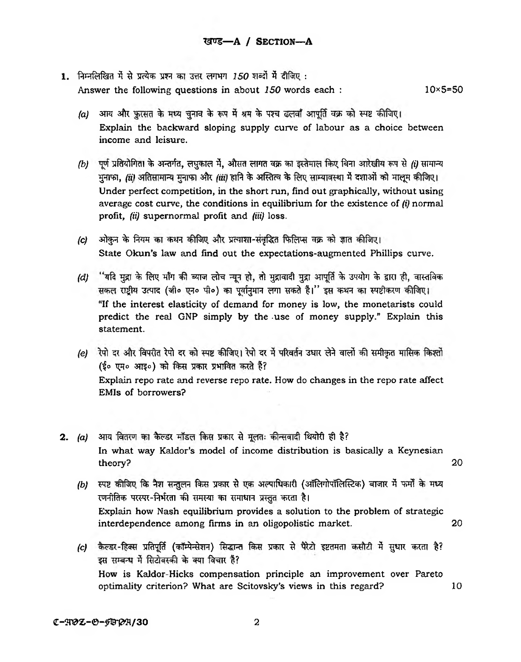- 1. निम्नलिखित में से प्रत्येक प्रश्न का उत्तर लगभग *150* शब्दों में दीजिए : Answer the following questions in about *150* words each : 10x5=50
	- *(a)* आय और फ़ुरसत के मध्य चुनाव के रूप में श्रम के पश्च ढलवाँ आपूर्ति वक्र को स्पष्ट कीजिए। Explain the backward sloping supply curve of labour as a choice between income and leisure.
	- *(b)* पूर्ण प्रतियोगिता के अन्तर्गत, लघुकाल में, औसत लागत वक्र का इस्तेमाल किए बिना आरेखीय रूप से *(i)* सामान्य मुनाफा, *(ii)* अतिसामान्य मुनाफा और *(iii)* हानि के अस्तित्व के लिए साम्यावस्था में दशाओं को मालूम कीजिए। Under perfect competition, in the short run, find out graphically, without using average cost curve, the conditions in equilibrium for the existence of *(i)* normal profit, *(ii)* supernormal profit and *(iii)* loss.
	- *(c)* ओकुन के नियम का कथन कीजिए और प्रत्याशा-संवृद्धित फिलिप्स वक्र को ज्ञात कीजिए। State Okun's law and find out the expectations-augmented Phillips curve.
	- *(d)* ''यदि मुद्रा के लिए माँग की ब्याज लोच न्यून हो, तो मुद्रावादी मुद्रा आपूर्ति के उपयोग के द्वारा ही, वास्तविक **सकल राष्ट्रीय उत्पाद (जी० एन० पी०) का पूर्वानुमान लगा सकते हैं।'' इस कथन का स्पष्टीकरण कीजिए।** "If the interest elasticity of demand for money is low, the monetarists could predict the real GNP simply by the -use of money supply." Explain this statement.
	- *(e)* रेपो दर और विपरीत रेपो दर को स्पष्ट कीजिए। रेपो दर में परिवर्तन उधार लेने वालों की समीकृत मासिक किश्तों (ई० एम० आइ०) को किस प्रकार प्रभावित करते हैं? Explain repo rate and reverse repo rate. How do changes in the repo rate affect EMIs of borrowers?
- 2. (a) आय वितरण का कैल्डर मॉडल किस प्रकार से मूलतः कीन्सवादी थियोरी ही है? In what way Kaldor's model of income distribution is basically a Keynesian theory? 20
	- *(b) स्प*ष्ट कीजिए कि नैश सन्तुलन किस प्रकार से एक अल्पाधिकारी (ऑलिगोपॉलिस्टिक) बाजार में फर्मों के मध्य रणनीतिक परस्पर-निर्भरता की समस्या का समाधान प्रस्तुत करता है। Explain how Nash equilibrium provides a solution to the problem of strategic interdependence among firms in an oligopolistic market. 20
	- *(c)* कैल्डर-हिक्स प्रतिपूर्ति (कॉम्पेन्सेशन) सिद्धान्त किस प्रकार से पैरेटो इष्टतमता कसौटी में सुधार करता है? इस सम्बन्ध में सिटोवस्की के क्या विचार है? How is Kaldor-Hicks compensation principle an improvement over Pareto optimality criterion? What are Scitovsky's views in this regard? 10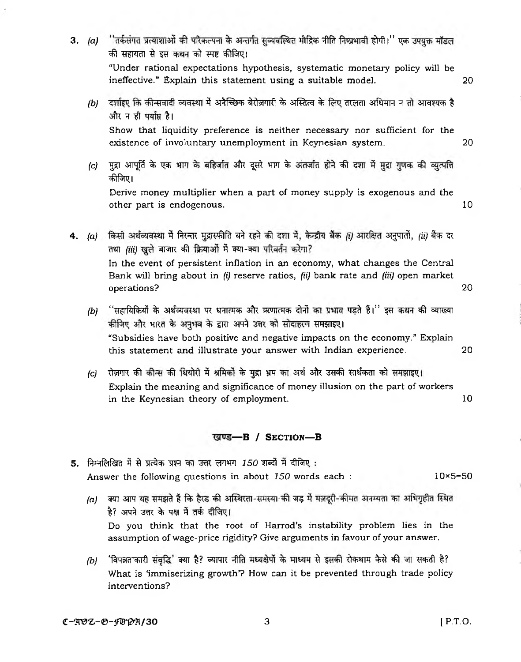- <span id="page-2-0"></span>3. (a) ''तर्कसंगत प्रत्याशाओं की परिकल्पना के अन्तर्गत सुव्यवस्थित मौद्रिक नीति निष्प्रभावी होगी।'' एक उपयुक्त मॉडल की सहायता से इस कथन को स्पष्ट कीजिए। "Under rational expectations hypothesis, systematic monetary policy will be ineffective." Explain this statement using a suitable model. 20 *(b)* दर्शाइए कि कीन्सवादी व्यवस्था में अनैच्छिक बेरोज़गारी के अस्तित्व के लिए तरलता अधिमान न तो आवश्यक है और न ही पर्याप्त है। Show that liquidity preference is neither necessary nor sufficient for the existence of involuntary unemployment in Keynesian system. 20 *(c)* मद्रा आपर्ति के एक भाग के बहिर्जात और दसरे भाग के अंतर्जात होने की दशा में मद्रा गणक की व्यत्पत्ति
	- कीजिए। Derive money multiplier when a part of money supply is exogenous and the other part is endogenous. 10
- 4. *(a)* किसी अर्थव्यवस्था में निरन्तर मुद्रास्फीति बने रहने की दशा में, केन्द्रीय बैंक *(i)* आरक्षित अनुपातों, *(ii)* बैंक दर तथा (iii) खुले बाजार की क्रियाओं में क्या-क्या परिवर्तन करेगा? In the event of persistent inflation in an economy, what changes the Central Bank will bring about in *(i)* reserve ratios, *(ii)* bank rate and *(Hi)* open market operations? 20
	- *(b)* "सहायिकियों के अर्थव्यवस्था पर धनात्मक और ऋणात्मक दोनों का प्रभाव पड़ते हैं।" इस कथन की व्याख्या कीजिए और भारत के अनुभव के द्वारा अपने उत्तर को सोदाहरण समझाइए। "Subsidies have both positive and negative impacts on the economy." Explain this statement and illustrate your answer with Indian experience. 20
	- *(c)* रोज़गार की कीन्स की थियोरी में श्रमिकों के मुद्रा भ्रम का अर्थ और उसकी सार्थकता को समझाइए। Explain the meaning and significance of money illusion on the part of workers in the Keynesian theory of employment. 10

## खण्ड-B / SECTION-B

- 5. निम्नलिखित में से प्रत्येक प्रश्न का उत्तर लगभग 150 शब्दों में दीजिए: Answer the following questions in about *150* words each : 10×5=50
	- *(a)* क्या आप यह समझते हैं कि हैरड की अस्थिरता-समस्या की जड में मज़दूरी-कीमत अनम्यता का अभिगृहीत स्थित है? अपने उत्तर के पक्ष में तर्क दीजिए। Do you think that the root of Harrod's instability problem lies in the assumption of wage-price rigidity? Give arguments in favour of your answer.
	- *(b)* 'विपत्रताकारी संबृद्धि' क्या है? व्यापार नीति मध्यक्षेर्पो के माध्यम से इसकी रोकथाम कैसे की जा सकती है? What is 'immiserizing growth'? How can it be prevented through trade policy interventions?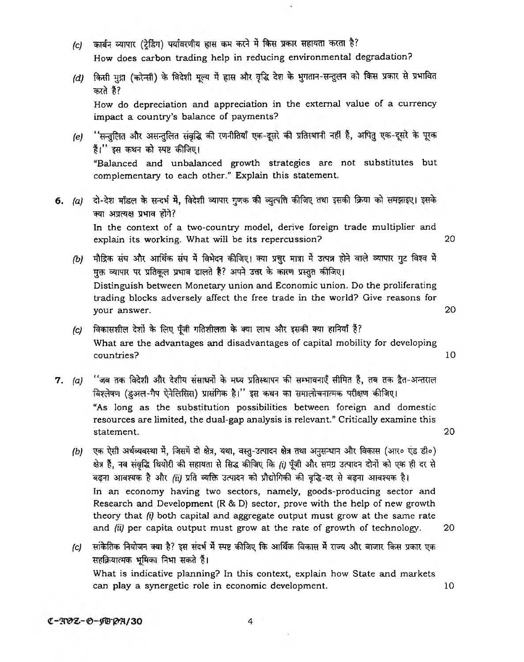- *(c)* कार्बन व्यापार (ट्रेडिंग) पर्यावरणीय ह्रास कम करने में किस प्रकार सहायता करता है? How does carbon trading help in reducing environmental degradation?
- *(d)* किसी मुद्रा (करेन्सी) के विदेशी मूल्य में ह्रास और वृद्धि देश के भुगतान-सन्तुलन को किस प्रकार से प्रभावित करते हैं? How do depreciation and appreciation in the external value of a currency impact a country's balance of payments?

s.

- (e) 'सन्तुलित और असन्तुलित संवृद्धि की रणनीतियाँ एक-दूसरे की प्रतिस्थानी नहीं हैं, अपितु एक-दूसरे के पूरक हैं।'' इस कथन को स्पष्ट कीजिए। "Balanced and unbalanced growth strategies are not substitutes but complementary to each other." Explain this statement.
- 6. (a) दो-देश मॉडल के सन्दर्भ में, विदेशी व्यापार गुणक की व्युत्पत्ति कीजिए तथा इसकी क्रिया को समझाइए। इसके **क्या अप्रत्यक्ष प्रभाव होंगे?** In the context of a two-country model, derive foreign trade multiplier and explain its working. What will be its repercussion? 20
	- *(b)* मौद्रिक संघ और आर्थिक संघ में विभेदन कीजिए। क्या प्रचुर मात्रा में उत्पन्न होने वाले व्यापार गुट विश्व में <u>मुक्त व्यापार पर प्रतिकूल प्रभाव डालते हैं? अपने उत्तर के कारण प्रस्तुत कीजिए।</u> Distinguish between Monetary union and Economic union. Do the proliferating trading blocks adversely affect the free trade in the world? Give reasons for your answer. 20
	- *(c)* विकासशील देशों के लिए पूँजी गतिशीलता के क्या लाभ और इसकी क्या हानियाँ है? What are the advantages and disadvantages of capital mobility for developing countries? 10
- 7. (a) "जब तक विदेशी और देशीय संसाधनों के मध्य प्रतिस्थापन की सम्भावनाएँ सीमित हैं, तब तक द्वैत-अन्तराल विश्लेषण (इअल-गैप ऐनेलिसिस) प्रासंगिक है।'' इस कथन का समालोचनात्मक परीक्षण कीजिए। "As long as the substitution possibilities between foreign and domestic resources are limited, the dual-gap analysis is relevant." Critically examine this statement. 20
	- *(b)* **^ 3?sN^sn 3,** *fa,* **^sn, ^ -**3**? ^** *fa* **crar** *4k* **tera (stro ^ ^ D)** क्षेत्र हैं, नव संवृद्धि थियोरी की सहायता से सिद्ध कीजिए कि (i) पूँजी और समग्र उत्पादन दोनों को एक ही दर से बढना आवश्यक है और *(ii)* प्रति व्यक्ति उत्पादन को प्रौद्योगिकी की वृद्धि-दर से बढना आवश्यक है। In an economy having two sectors, namely, goods-producing sector and Research and Development (R & D) sector, prove with the help of new growth theory that *(i)* both capital and aggregate output must grow at the same rate and *(ii)* per capita output must grow at the rate of growth of technology. 20
	- *(c)* सांकेतिक नियोजन क्या है? इस संदर्भ में स्पष्ट कीजिए कि आर्थिक विकास में राज्य और बाजार किस प्रकार एक सहक्रियात्मक भूमिका निभा सकते हैं। What is indicative planning? In this context, explain how State and markets can play a synergetic role in economic development. 10

 $C - TQZ - D - FQ'Q'Z'$ 

4